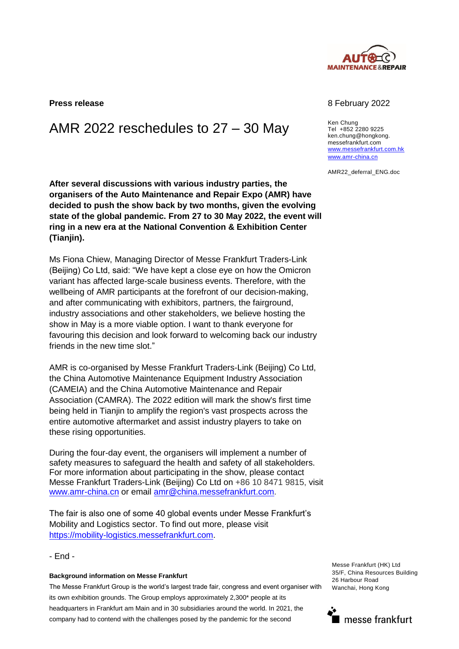

## AMR 2022 reschedules to  $27 - 30$  May Ken Chung

**After several discussions with various industry parties, the organisers of the Auto Maintenance and Repair Expo (AMR) have decided to push the show back by two months, given the evolving state of the global pandemic. From 27 to 30 May 2022, the event will ring in a new era at the National Convention & Exhibition Center (Tianjin).**

Ms Fiona Chiew, Managing Director of Messe Frankfurt Traders-Link (Beijing) Co Ltd, said: "We have kept a close eye on how the Omicron variant has affected large-scale business events. Therefore, with the wellbeing of AMR participants at the forefront of our decision-making, and after communicating with exhibitors, partners, the fairground, industry associations and other stakeholders, we believe hosting the show in May is a more viable option. I want to thank everyone for favouring this decision and look forward to welcoming back our industry friends in the new time slot."

AMR is co-organised by Messe Frankfurt Traders-Link (Beijing) Co Ltd, the China Automotive Maintenance Equipment Industry Association (CAMEIA) and the China Automotive Maintenance and Repair Association (CAMRA). The 2022 edition will mark the show's first time being held in Tianjin to amplify the region's vast prospects across the entire automotive aftermarket and assist industry players to take on these rising opportunities.

During the four-day event, the organisers will implement a number of safety measures to safeguard the health and safety of all stakeholders. For more information about participating in the show, please contact Messe Frankfurt Traders-Link (Beijing) Co Ltd on +86 10 8471 9815, visit [www.amr-china.cn](http://www.amr-china.cn/) or email [amr@china.messefrankfurt.com.](mailto:amr@china.messefrankfurt.com)

The fair is also one of some 40 global events under Messe Frankfurt's Mobility and Logistics sector. To find out more, please visit [https://mobility-logistics.messefrankfurt.com.](https://mobility-logistics.messefrankfurt.com/)

- End -

## **Background information on Messe Frankfurt**

The Messe Frankfurt Group is the world's largest trade fair, congress and event organiser with its own exhibition grounds. The Group employs approximately 2,300\* people at its headquarters in Frankfurt am Main and in 30 subsidiaries around the world. In 2021, the company had to contend with the challenges posed by the pandemic for the second

Messe Frankfurt (HK) Ltd 35/F, China Resources Building 26 Harbour Road Wanchai, Hong Kong



## **Press release** 8 **Press release** 8 **February 2022**

Tel +852 2280 9225 ken.chung@hongkong. messefrankfurt.com [www.messefrankfurt.com.hk](http://www.messefrankfurt.com.hk/)  [www.amr-china.cn](http://www.amr-china.cn/)

AMR22\_deferral\_ENG.doc